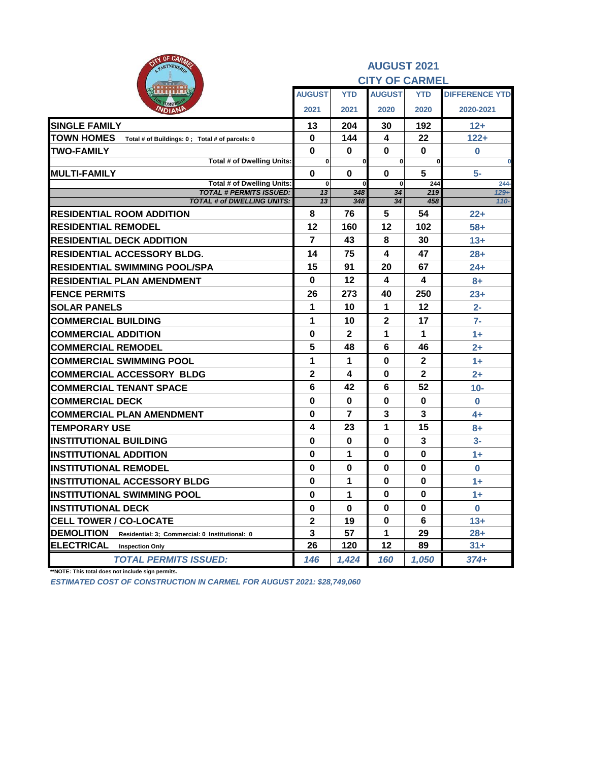| OF CARMS<br>$\tau_{k}$<br>PARTNERSHIP                               |                       |                | <b>AUGUST 2021</b>      |                |                       |  |  |
|---------------------------------------------------------------------|-----------------------|----------------|-------------------------|----------------|-----------------------|--|--|
|                                                                     | <b>CITY OF CARMEL</b> |                |                         |                |                       |  |  |
|                                                                     | <b>AUGUST</b>         | <b>YTD</b>     | <b>AUGUST</b>           | <b>YTD</b>     | <b>DIFFERENCE YTD</b> |  |  |
| Омог<br><b>VDIANI</b>                                               | 2021                  | 2021           | 2020                    | 2020           | 2020-2021             |  |  |
| <b>SINGLE FAMILY</b>                                                | 13                    | 204            | 30                      | 192            | $12 +$                |  |  |
| <b>TOWN HOMES</b><br>Total # of Buildings: 0; Total # of parcels: 0 | 0                     | 144            | 4                       | 22             | $122 +$               |  |  |
| <b>TWO-FAMILY</b>                                                   | $\bf{0}$              | $\bf{0}$       | 0                       | 0              | $\bf{0}$              |  |  |
| Total # of Dwelling Units:                                          | $\mathbf{0}$          | $\bf{0}$       | $\bf{0}$                | $\bf{0}$       | 0                     |  |  |
| <b>IMULTI-FAMILY</b><br>Total # of Dwelling Units:                  | $\bf{0}$              | 0              | $\bf{0}$<br>$\bf{0}$    | 5              | 5-                    |  |  |
| <b>TOTAL # PERMITS ISSUED:</b>                                      | $\mathbf{0}$<br>13    | 0<br>348       | 34                      | 244<br>219     | $244 -$<br>$129+$     |  |  |
| <b>TOTAL # of DWELLING UNITS:</b>                                   | 13                    | 348            | 34                      | 458            | $110 -$               |  |  |
| <b>IRESIDENTIAL ROOM ADDITION</b>                                   | 8                     | 76             | 5                       | 54             | $22+$                 |  |  |
| <b>RESIDENTIAL REMODEL</b>                                          | 12                    | 160            | 12                      | 102            | $58+$                 |  |  |
| <b>RESIDENTIAL DECK ADDITION</b>                                    | 7                     | 43             | 8                       | 30             | $13+$                 |  |  |
| <b>RESIDENTIAL ACCESSORY BLDG.</b>                                  | 14                    | 75             | $\overline{\mathbf{4}}$ | 47             | $28+$                 |  |  |
| <b>RESIDENTIAL SWIMMING POOL/SPA</b>                                | 15                    | 91             | 20                      | 67             | $24+$                 |  |  |
| <b>RESIDENTIAL PLAN AMENDMENT</b>                                   | 0                     | 12             | 4                       | 4              | $8+$                  |  |  |
| <b>IFENCE PERMITS</b>                                               | 26                    | 273            | 40                      | 250            | $23+$                 |  |  |
| <b>SOLAR PANELS</b>                                                 | 1                     | 10             | 1                       | 12             | $2 -$                 |  |  |
| <b>COMMERCIAL BUILDING</b>                                          | 1                     | 10             | $\mathbf{2}$            | 17             | $7-$                  |  |  |
| <b>COMMERCIAL ADDITION</b>                                          | $\bf{0}$              | 2              | 1                       | 1              | $1+$                  |  |  |
| <b>COMMERCIAL REMODEL</b>                                           | 5                     | 48             | 6                       | 46             | $2+$                  |  |  |
| <b>COMMERCIAL SWIMMING POOL</b>                                     | 1                     | 1              | $\bf{0}$                | $\overline{2}$ | 1+                    |  |  |
| <b>COMMERCIAL ACCESSORY BLDG</b>                                    | 2                     | 4              | 0                       | $\mathbf{2}$   | $2+$                  |  |  |
| <b>COMMERCIAL TENANT SPACE</b>                                      | 6                     | 42             | 6                       | 52             | $10-$                 |  |  |
| <b>COMMERCIAL DECK</b>                                              | $\bf{0}$              | 0              | $\bf{0}$                | 0              | $\bf{0}$              |  |  |
| <b>COMMERCIAL PLAN AMENDMENT</b>                                    | $\mathbf 0$           | $\overline{7}$ | 3                       | 3              | $4+$                  |  |  |
| <b>TEMPORARY USE</b>                                                | 4                     | 23             | 1                       | 15             | $8+$                  |  |  |
| <b>INSTITUTIONAL BUILDING</b>                                       | $\bf{0}$              | $\bf{0}$       | $\bf{0}$                | 3              | $3-$                  |  |  |
| <b>INSTITUTIONAL ADDITION</b>                                       | $\mathbf 0$           | 1              | $\bf{0}$                | $\bf{0}$       | $1+$                  |  |  |
| <b>IINSTITUTIONAL REMODEL</b>                                       | 0                     | 0              | 0                       | 0              | $\bf{0}$              |  |  |
| <b>IINSTITUTIONAL ACCESSORY BLDG</b>                                | $\bf{0}$              | 1              | $\bf{0}$                | $\bf{0}$       | $1+$                  |  |  |
| <b>INSTITUTIONAL SWIMMING POOL</b>                                  | 0                     | 1              | $\bf{0}$                | 0              | $1+$                  |  |  |
| <b>INSTITUTIONAL DECK</b>                                           | 0                     | 0              | 0                       | 0              | 0                     |  |  |
| <b>CELL TOWER / CO-LOCATE</b>                                       | 2                     | 19             | 0                       | 6              | $13+$                 |  |  |
| <b>DEMOLITION</b><br>Residential: 3; Commercial: 0 Institutional: 0 | 3                     | 57             | 1                       | 29             | $28 +$                |  |  |
| <b>ELECTRICAL</b><br><b>Inspection Only</b>                         | 26                    | 120            | 12                      | 89             | $31 +$                |  |  |
| <b>TOTAL PERMITS ISSUED:</b>                                        | 146                   | 1,424          | 160                     | 1,050          | 374+                  |  |  |

**\*\*NOTE: This total does not include sign permits.**

*ESTIMATED COST OF CONSTRUCTION IN CARMEL FOR AUGUST 2021: \$28,749,060*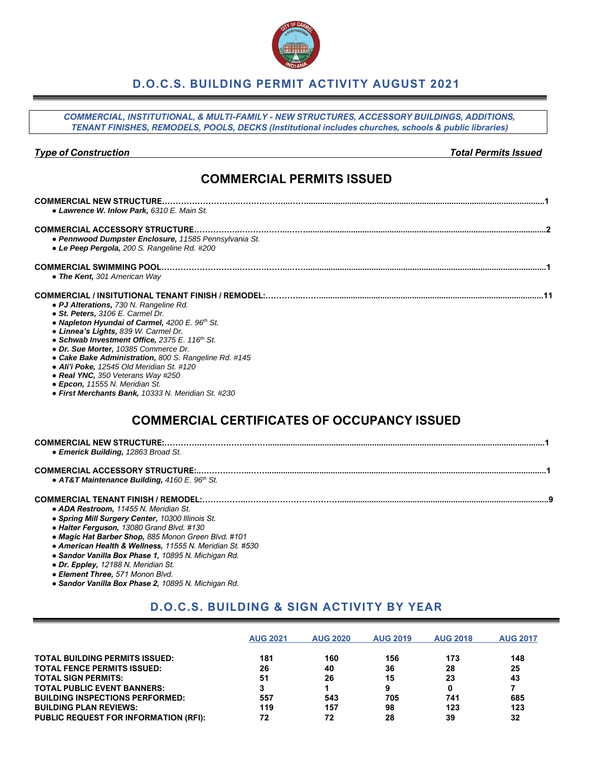

### **D.O.C.S. BUILDING PERMIT ACTIVITY AUGUST 2021**

*COMMERCIAL, INSTITUTIONAL, & MULTI-FAMILY - NEW STRUCTURES, ACCESSORY BUILDINGS, ADDITIONS, TENANT FINISHES, REMODELS, POOLS, DECKS (Institutional includes churches, schools & public libraries)*

#### *Type of Construction Total Permits Issued*

## **COMMERCIAL PERMITS ISSUED**

| • Lawrence W. Inlow Park, 6310 E. Main St.                                                                                                                                                                                                                                                                                                                                                                                                                                                                               |
|--------------------------------------------------------------------------------------------------------------------------------------------------------------------------------------------------------------------------------------------------------------------------------------------------------------------------------------------------------------------------------------------------------------------------------------------------------------------------------------------------------------------------|
| • Pennwood Dumpster Enclosure, 11585 Pennsylvania St.<br>• Le Peep Pergola, 200 S. Rangeline Rd. #200                                                                                                                                                                                                                                                                                                                                                                                                                    |
| • The Kent, 301 American Way                                                                                                                                                                                                                                                                                                                                                                                                                                                                                             |
| • PJ Alterations, 730 N. Rangeline Rd.<br>• St. Peters, 3106 E. Carmel Dr.<br>• Napleton Hyundai of Carmel, 4200 E. 96 <sup>th</sup> St.<br>• Linnea's Lights, 839 W. Carmel Dr.<br>• Schwab Investment Office, 2375 E. 116 <sup>th</sup> St.<br>• Dr. Sue Morter, 10385 Commerce Dr.<br>• Cake Bake Administration, 800 S. Rangeline Rd. #145<br>• Ali'i Poke, 12545 Old Meridian St. #120<br>• Real YNC, 350 Veterans Way #250<br>• Epcon, 11555 N. Meridian St.<br>• First Merchants Bank, 10333 N. Meridian St. #230 |
| <b>COMMERCIAL CERTIFICATES OF OCCUPANCY ISSUED</b>                                                                                                                                                                                                                                                                                                                                                                                                                                                                       |
| • Emerick Building, 12863 Broad St.                                                                                                                                                                                                                                                                                                                                                                                                                                                                                      |
|                                                                                                                                                                                                                                                                                                                                                                                                                                                                                                                          |

*● AT&T Maintenance Building, 4160 E. 96th St.*

#### **COMMERCIAL TENANT FINISH / REMODEL:……………..…….………………………............................................................................................9** *● ADA Restroom, 11455 N. Meridian St.*

- 
- *● Spring Mill Surgery Center, 10300 Illinois St. ● Halter Ferguson, 13080 Grand Blvd. #130*
- *● Magic Hat Barber Shop, 885 Monon Green Blvd. #101*
- *● American Health & Wellness, 11555 N. Meridian St. #530*
- *● Sandor Vanilla Box Phase 1, 10895 N. Michigan Rd.*
- *● Dr. Eppley, 12188 N. Meridian St.*
- *● Element Three, 571 Monon Blvd.*
- *● Sandor Vanilla Box Phase 2, 10895 N. Michigan Rd.*

### **D.O.C.S. BUILDING & SIGN ACTIVITY BY YEAR**

|                                              | <b>AUG 2021</b> | <b>AUG 2020</b> | <b>AUG 2019</b> | <b>AUG 2018</b> | <b>AUG 2017</b> |
|----------------------------------------------|-----------------|-----------------|-----------------|-----------------|-----------------|
| <b>TOTAL BUILDING PERMITS ISSUED:</b>        | 181             | 160             | 156             | 173             | 148             |
| <b>TOTAL FENCE PERMITS ISSUED:</b>           | 26              | 40              | 36              | 28              | 25              |
| <b>TOTAL SIGN PERMITS:</b>                   | 51              | 26              | 15              | 23              | 43              |
| <b>TOTAL PUBLIC EVENT BANNERS:</b>           |                 |                 | 9               | 0               |                 |
| <b>BUILDING INSPECTIONS PERFORMED:</b>       | 557             | 543             | 705             | 741             | 685             |
| <b>BUILDING PLAN REVIEWS:</b>                | 119             | 157             | 98              | 123             | 123             |
| <b>PUBLIC REQUEST FOR INFORMATION (RFI):</b> | 72              | 72              | 28              | 39              | 32              |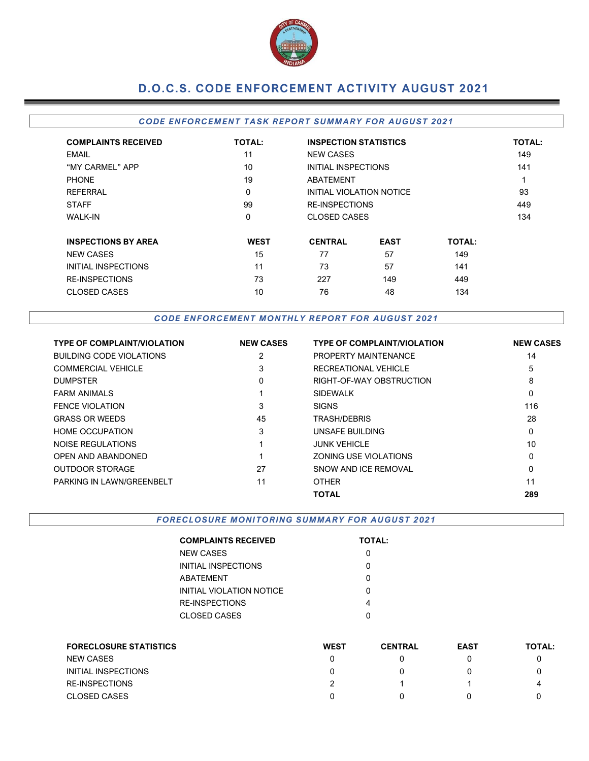

# **D.O.C.S. CODE ENFORCEMENT ACTIVITY AUGUST 2021**

#### *CODE EN FORCEMEN T TA SK REPOR T SUMMARY FOR AUGUST 2021*

| <b>COMPLAINTS RECEIVED</b> | <b>TOTAL:</b> | <b>INSPECTION STATISTICS</b> | <b>TOTAL:</b>            |               |     |  |  |
|----------------------------|---------------|------------------------------|--------------------------|---------------|-----|--|--|
| <b>EMAIL</b>               | 11            | <b>NEW CASES</b>             |                          |               | 149 |  |  |
| "MY CARMEL" APP            | 10            |                              | INITIAL INSPECTIONS      |               |     |  |  |
| <b>PHONE</b>               | 19            | ABATEMENT                    |                          |               | 1   |  |  |
| <b>REFERRAL</b>            | 0             |                              | INITIAL VIOLATION NOTICE |               |     |  |  |
| <b>STAFF</b>               | 99            |                              | <b>RE-INSPECTIONS</b>    |               |     |  |  |
| <b>WALK-IN</b>             | 0             |                              | <b>CLOSED CASES</b>      |               | 134 |  |  |
| <b>INSPECTIONS BY AREA</b> | <b>WEST</b>   | <b>CENTRAL</b>               | <b>EAST</b>              | <b>TOTAL:</b> |     |  |  |
| <b>NEW CASES</b>           | 15            | 77                           | 57                       | 149           |     |  |  |
| <b>INITIAL INSPECTIONS</b> | 11            | 73                           | 57                       | 141           |     |  |  |
| <b>RE-INSPECTIONS</b>      | 73            | 227                          | 149                      | 449           |     |  |  |
| <b>CLOSED CASES</b>        | 10            | 76                           | 48                       | 134           |     |  |  |

CODE ENFORCEMENT MONTHLY REPORT FOR AUGUST 2021

| <b>TYPE OF COMPLAINT/VIOLATION</b> | <b>NEW CASES</b> | <b>TYPE OF COMPLAINT/VIOLATION</b> | <b>NEW CASES</b> |
|------------------------------------|------------------|------------------------------------|------------------|
| <b>BUILDING CODE VIOLATIONS</b>    |                  | PROPERTY MAINTENANCE               | 14               |
| <b>COMMERCIAL VEHICLE</b>          | 3                | RECREATIONAL VEHICLE               | 5                |
| <b>DUMPSTER</b>                    | $\mathbf{0}$     | RIGHT-OF-WAY OBSTRUCTION           | 8                |
| <b>FARM ANIMALS</b>                |                  | <b>SIDEWALK</b>                    | 0                |
| <b>FENCE VIOLATION</b>             | 3                | <b>SIGNS</b>                       | 116              |
| <b>GRASS OR WEEDS</b>              | 45               | <b>TRASH/DEBRIS</b>                | 28               |
| <b>HOME OCCUPATION</b>             | 3                | UNSAFE BUILDING                    | 0                |
| NOISE REGULATIONS                  |                  | <b>JUNK VEHICLE</b>                | 10               |
| <b>OPEN AND ABANDONED</b>          |                  | ZONING USE VIOLATIONS              | 0                |
| <b>OUTDOOR STORAGE</b>             | 27               | SNOW AND ICE REMOVAL               | 0                |
| PARKING IN LAWN/GREENBELT          | 11               | <b>OTHER</b>                       | 11               |
|                                    |                  | <b>TOTAL</b>                       | 289              |

**FORECLOSURE MONITORING SUMMARY FOR AUGUST 2021** 

| <b>COMPLAINTS RECEIVED</b> | <b>TOTAL:</b> |
|----------------------------|---------------|
| NEW CASES                  |               |
| INITIAL INSPECTIONS        |               |
| ABATEMENT                  | ი             |
| INITIAL VIOLATION NOTICE   | ი             |
| RE-INSPECTIONS             | 4             |
| CLOSED CASES               |               |

| <b>FORECLOSURE STATISTICS</b> | <b>WEST</b> | <b>CENTRAL</b> | <b>EAST</b> | <b>TOTAL:</b> |
|-------------------------------|-------------|----------------|-------------|---------------|
| <b>NEW CASES</b>              |             |                |             |               |
| INITIAL INSPECTIONS           |             |                |             |               |
| <b>RE-INSPECTIONS</b>         |             |                |             | 4             |
| <b>CLOSED CASES</b>           |             |                |             |               |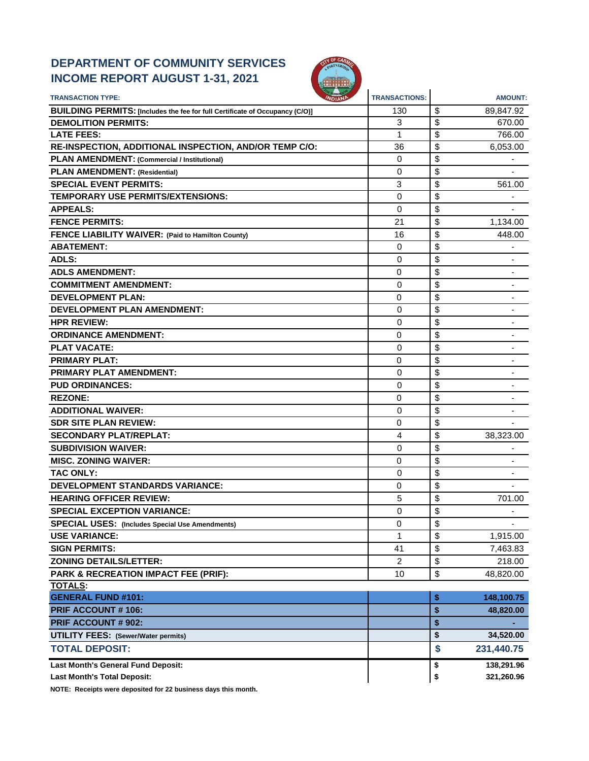# **DEPARTMENT OF COMMUNITY SERVICES INCOME REPORT AUGUST 1-31, 2021**



| <b>TRANSACTION TYPE:</b>                                                     | <b>TRANSACTIONS:</b> | <b>AMOUNT:</b>       |
|------------------------------------------------------------------------------|----------------------|----------------------|
| BUILDING PERMITS: [Includes the fee for full Certificate of Occupancy (C/O)] | 130                  | \$<br>89,847.92      |
| <b>DEMOLITION PERMITS:</b>                                                   | 3                    | \$<br>670.00         |
| <b>LATE FEES:</b>                                                            | 1                    | \$<br>766.00         |
| RE-INSPECTION, ADDITIONAL INSPECTION, AND/OR TEMP C/O:                       | 36                   | \$<br>6,053.00       |
| PLAN AMENDMENT: (Commercial / Institutional)                                 | 0                    | \$                   |
| <b>PLAN AMENDMENT: (Residential)</b>                                         | 0                    | \$                   |
| <b>SPECIAL EVENT PERMITS:</b>                                                | 3                    | \$<br>561.00         |
| <b>TEMPORARY USE PERMITS/EXTENSIONS:</b>                                     | 0                    | \$                   |
| <b>APPEALS:</b>                                                              | 0                    | \$                   |
| <b>FENCE PERMITS:</b>                                                        | 21                   | \$<br>1,134.00       |
| FENCE LIABILITY WAIVER: (Paid to Hamilton County)                            | 16                   | \$<br>448.00         |
| <b>ABATEMENT:</b>                                                            | 0                    | \$                   |
| <b>ADLS:</b>                                                                 | 0                    | \$                   |
| <b>ADLS AMENDMENT:</b>                                                       | 0                    | \$                   |
| <b>COMMITMENT AMENDMENT:</b>                                                 | 0                    | \$<br>-              |
| <b>DEVELOPMENT PLAN:</b>                                                     | 0                    | \$<br>٠              |
| <b>DEVELOPMENT PLAN AMENDMENT:</b>                                           | 0                    | \$                   |
| <b>HPR REVIEW:</b>                                                           | $\Omega$             | \$                   |
| <b>ORDINANCE AMENDMENT:</b>                                                  | 0                    | \$                   |
| <b>PLAT VACATE:</b>                                                          | 0                    | \$                   |
| <b>PRIMARY PLAT:</b>                                                         | 0                    | \$                   |
| <b>PRIMARY PLAT AMENDMENT:</b>                                               | 0                    | \$<br>٠              |
| <b>PUD ORDINANCES:</b>                                                       | 0                    | \$                   |
| <b>REZONE:</b>                                                               | 0                    | \$                   |
| <b>ADDITIONAL WAIVER:</b>                                                    | 0                    | \$                   |
| <b>SDR SITE PLAN REVIEW:</b>                                                 | 0                    | \$                   |
| <b>SECONDARY PLAT/REPLAT:</b>                                                | 4                    | \$<br>38,323.00      |
| <b>SUBDIVISION WAIVER:</b>                                                   | 0                    | \$                   |
| <b>MISC. ZONING WAIVER:</b>                                                  | $\Omega$             | \$                   |
| <b>TAC ONLY:</b>                                                             | 0                    | \$<br>$\blacksquare$ |
| <b>DEVELOPMENT STANDARDS VARIANCE:</b>                                       | 0                    | \$                   |
| <b>HEARING OFFICER REVIEW:</b>                                               | 5                    | \$<br>701.00         |
| <b>SPECIAL EXCEPTION VARIANCE:</b>                                           | 0                    | \$                   |
| <b>SPECIAL USES:</b> (Includes Special Use Amendments)                       | 0                    | \$                   |
| <b>USE VARIANCE:</b>                                                         | 1                    | \$<br>1,915.00       |
| <b>SIGN PERMITS:</b>                                                         | 41                   | \$<br>7,463.83       |
| <b>ZONING DETAILS/LETTER:</b>                                                | 2                    | \$<br>218.00         |
| PARK & RECREATION IMPACT FEE (PRIF):                                         | 10                   | \$<br>48,820.00      |
| <b>TOTALS:</b>                                                               |                      |                      |
| <b>GENERAL FUND #101:</b>                                                    |                      | \$<br>148,100.75     |
| <b>PRIF ACCOUNT # 106:</b>                                                   |                      | \$<br>48,820.00      |
| PRIF ACCOUNT # 902:                                                          |                      | \$                   |
| <b>UTILITY FEES:</b> (Sewer/Water permits)                                   |                      | \$<br>34,520.00      |
| <b>TOTAL DEPOSIT:</b>                                                        |                      | \$<br>231,440.75     |
| Last Month's General Fund Deposit:                                           |                      | \$<br>138,291.96     |
| <b>Last Month's Total Deposit:</b>                                           |                      | \$<br>321,260.96     |

**NOTE: Receipts were deposited for 22 business days this month.**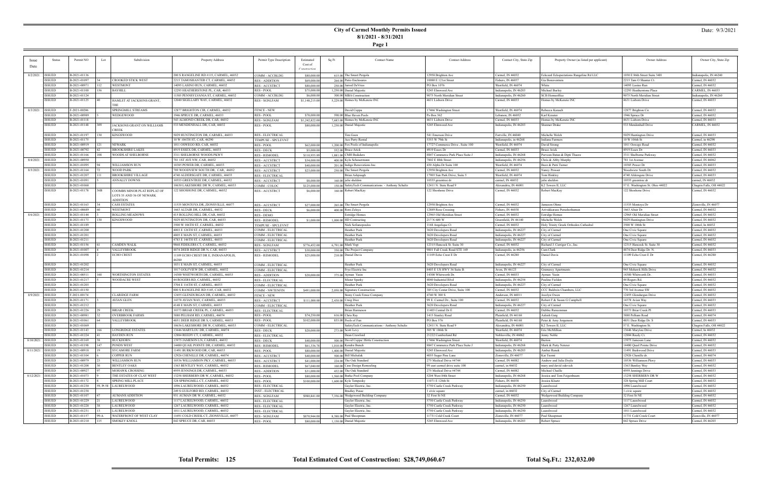### **City of Carmel Monthly Permits Issued 8/1/2021 - 8/31/2021**

**Page 1**

### Date: 9/3/2021

| Issue              | Status                         | Permit NO                    | Lot         | Subdivision                                             | Property Address                                                     | Permit Type Description                   | Estimated                   | Sq Ft | Contact Name                                       | <b>Contact Address</b>                           | Contact City, State Zip                        | Property Owner (as listed per applicant)   | Owner Address                                      | Owner City, State Zip                    |
|--------------------|--------------------------------|------------------------------|-------------|---------------------------------------------------------|----------------------------------------------------------------------|-------------------------------------------|-----------------------------|-------|----------------------------------------------------|--------------------------------------------------|------------------------------------------------|--------------------------------------------|----------------------------------------------------|------------------------------------------|
| Date               |                                |                              |             |                                                         |                                                                      |                                           | Cost of                     |       |                                                    |                                                  |                                                |                                            |                                                    |                                          |
|                    |                                |                              |             |                                                         |                                                                      |                                           | Constructie                 |       |                                                    |                                                  |                                                |                                            |                                                    |                                          |
| 8/2/2021   ISSUED  |                                | B-2021-01136                 |             |                                                         | 200 S RANGELINE RD #115, CARMEL, 46032                               | COMM - ACCBLDG                            | \$80,000.00                 |       | 615.00 The Smart Pergola                           | 12958 Brighton Ave                               | Carmel, IN 46032                               | Eckceed Eckspectations Rangeline Rd LLC    | 1030 E 86th Street Suite 34H                       | Indianapolis, IN 46240                   |
|                    | <b>ISSUED</b>                  | B-2021-01097                 |             | <b>CROOKED STICK WEST</b>                               | 2215 TAMOSHANTER CT, CARMEL, 46032                                   | <b>RES - ADDITION</b>                     | \$69,000.00                 |       | 264.00 Patio Enclosures                            | 10080 E 121st Street                             | Fishers, IN 46037                              | Gia Bonaventura                            | 2215 Tam O Shanter Ct.                             | Carmel, IN 46032                         |
|                    | <b>ISSUED</b>                  | B-2021-00971                 | 112         | <b>WESTMONT</b>                                         | 14095 LASINO RUN, CARMEL, 46032                                      | <b>RES-ACCSTRCT</b>                       | \$80,000.00                 |       | 250.00 Jarrod DeVries                              | PO Box 1076                                      | Westfield, IN 46074                            | White                                      | 14095 Lasino Run                                   | Carmel, IN 46032                         |
|                    | <b>ISSUED</b>                  | B-2021-01100                 | 56          | <b>BAYHILL</b>                                          | 12293 HEATHERSTONE PL, CAR, 46033                                    | <b>RES - POOL</b>                         | \$75,000.00                 |       | 1,250.00 Daniel Majestic                           | 5245 Elmwood Ave                                 | Indianapolis, IN 46203                         | Michael Burley                             | 12293 Heatherstone Place                           | CARMEL, IN 46033                         |
|                    | <b>ISSUED</b>                  | B-2021-01124                 |             |                                                         | 11585 PENNSYLVANIA ST, CARMEL, 46032                                 | COMM - ACCBLDG                            | \$6,000.00                  |       | 300.00 MBA Construction                            | 9075 North Meridian Street                       | Indianapolis, IN 46260                         | SCB Homeoffice                             | 9075 North Meridian Street                         | ndianapolis, IN 46260                    |
|                    | <b>ISSUED</b>                  | B-2021-01125                 |             | HAMLET AT JACKSONS GRANT,                               | 12040 SIGILLARY WAY, CARMEL, 46032                                   | RES - SGNLFAM                             | \$1,148,215.00              |       | 5,229.00 Homes by McKenzie INC                     | 4631 Lisborn Drive                               | Carmel, IN 46033                               | Homes by McKenzie INC                      | 4631 Lisborn Drive                                 | Carmel, IN 46033                         |
|                    |                                |                              |             |                                                         |                                                                      |                                           |                             |       |                                                    |                                                  |                                                |                                            |                                                    |                                          |
| 8/3/2021   ISSUED  |                                | F-2021-00206                 |             | SPRINGMILL STREAMS                                      | 12877 BRIGHTON CIR, CARMEL, 46032                                    | <b>FENCE - NEW</b>                        |                             |       | David Coppa                                        | 17466 Washington Street                          | Westfield, IN 46074                            | Rebecca Kanach                             | 12877 Brighton Cir.                                | Carmel, IN 46032                         |
|                    | <b>ISSUED</b>                  | B-2021-00989                 |             | WEDGEWOOD                                               | 1946 SPRUCE DR, CARMEL, 46033                                        | <b>RES-POOL</b>                           | \$78,000.00                 |       | 590.00 Blue Haven Pools                            | Po Box 562                                       | Lebanon, IN 46052                              | Karl Krauter                               | 1946 Spruce Dr                                     | Carmel, IN 46052                         |
|                    | <b>ISSUED</b>                  | B-2021-01118                 |             |                                                         | 543 ALMOND CREEK DR, CAR, 46032                                      | <b>RES - SGNLFAM</b>                      | \$1,242,822.00              |       | 7.683.00 Homes by McKenzie INC                     | 4631 Lisborn Drive                               | Carmel, IN 46033                               | Homes by McKenzie INC                      | 4631 Lisborn Drive                                 | Carmel, IN 46033                         |
|                    | <b>ISSUED</b>                  | B-2021-01148                 | 309         | JACKSONS GRANT ON WILLIAMS<br>CREEK                     | 533 MENDENHALL DR, CAR, 46032                                        | RES - POOL                                | \$80,000.00                 |       | 1,250.00 Daniel Majestic                           | 5245 Elmwood Ave                                 | Indianapolis, IN 46203                         | <b>Shanner Drake</b>                       | 533 Mendenhall Drive                               | CARMEL, IN 46032                         |
|                    | <b>ISSUED</b>                  | B-2021-01197                 | 130         | <b>KINGSWOOD</b>                                        | 5029 HUNTINGTON DR, CARMEL, 46033                                    | <b>RES - ELECTRICAL</b>                   |                             |       | Tim Goen                                           | 541 Emerson Drive                                | Fortville, IN 46040                            | Michelle Welch                             | 5029 Huntington Drive                              | Carmel, IN 46033                         |
|                    | <b>ISSUED</b>                  | B-2021-01175                 |             |                                                         | 10 W 106TH ST, CAR, 46290                                            | TEMPUSE - SPCLEVNT                        |                             |       | Ace Party Rental                                   | 5353 W 79th St                                   | Indianapolis, in 46268                         | Indiana Farmers                            | 10 W 106th St                                      | Carmel, in 46290                         |
|                    | <b>ISSUED</b>                  | B-2021-00919                 |             | NEWARK                                                  | 1011 OSWEGO RD, CAR, 46032                                           | <b>RES-POOL</b>                           | \$62,000.00                 |       | 1,200.00 Fox Pools of Indianapolis                 | 17727 Commerce Drive, Suite 100                  | Westfield, IN 46074                            | David Strong                               | 1011 Oswego Road                                   | Carmel, IN 46032                         |
|                    | <b>ISSUED</b>                  | B-2021-00792                 |             | <b>BROOKSHIRE LAKES</b>                                 | 4919 ESSEX DR, CARMEL, 46033                                         | <b>RES - DECK</b>                         | \$5,000.00                  |       | 552.00 Bruce Arick                                 | 4919 Essex Dr                                    | Carmel, IN 46033                               | <b>Bruce Arick</b>                         | 4919 Essex Dr                                      | Carmel, IN 46033                         |
|                    | <b>ISSUED</b>                  | B-2021-01166                 | 108         | WOODS AT SHELBORNE                                      | 3311 SHELBORNE WOODS PKWY                                            | <b>RES - REMODEI</b>                      | \$110,935.89                |       | 1,881.00 CMH Buikders                              | 8847 Commerce Park Place Suite J                 | Indianapolis, IN 46268                         | Parveen Batan & Dipti Thaore               | 3311 Shelborne Parkway                             | Carmel, IN 46032                         |
| 8/4/2021   ISSUED  |                                | B-2021-00950                 |             |                                                         | 781 1ST AVE NW, CAR, 46032                                           | <b>RES-ACCSTRCT</b>                       | \$34,000.00                 |       | 400.00 Kyla Scheuermann                            | 7802 E 88th Street                               | Indianapolis, IN 46256                         | Chris & Abby Murphy                        | 781 1st Avenue                                     | Carmel, IN 46062                         |
|                    | ISSUED                         | B-2021-01095                 |             | WILLIAMSON RUN                                          | 10385 POWER DR, CARMEL, 46033                                        | <b>RES-ACCSTRCT</b>                       | \$40,000.00                 |       | 201.00 Indigo Renovations Inc.                     | 430 Alpha Dr Suite 100                           | Westfield, IN 46074                            | Buzz & Patti Turner                        | 10385 Power Dr                                     | Carmel, IN 46033                         |
| 8/5/2021           | <b>ISSUED</b>                  | B-2021-01164                 |             | <b>WOOD PARK</b>                                        | 789 WOODVIEW SOUTH DR, CAR, 46032                                    | <b>RES-ACCSTRCT</b>                       | \$23,000.00                 |       | 250.00 The Smart Pergola                           | 12958 Brighton Ave                               | Carmel, IN 46032                               | Nancy Prosser                              | Woodwiew South Dr                                  | Carmel, IN 46032                         |
|                    | <b>ISSUED</b>                  | B-2021-01207                 |             | <b>BROOKSHIRE VILLAGE</b>                               | 4740 ALDERSGATE DR, CARMEL, 46033                                    | <b>RES - ELECTRICAL</b>                   |                             |       | Brian Ashpaugh                                     | 17903 Sun Park Drive, Suite 5                    | Westfield, IN 46074                            | Tom Hinkley                                | 4740 Aldersgate Drive                              | Carmel, IN 46033                         |
|                    | <b>ISSUED</b>                  | B-2021-01091                 |             | <b>ANNALLY DOWNS</b>                                    | 10555 GREENTREE DR, CARMEL, 46032                                    | <b>RES-ACCSTRCT</b>                       | \$8,000.00                  |       | 160,00 julie sheldon                               | 10555 greentree dr                               | carmel, IN 46032                               | julie sheldon                              | 10555 greentree dr                                 | armel, IN 46032                          |
|                    | <b>ISSUED</b>                  | B-2021-01068                 |             |                                                         | 10630 LAKESHORE DR W, CARMEL, 46033                                  | COMM - COLOC                              | \$125,000.00                |       | 150.00 SafetyTech Communications - Anthony Schultz | 12411 N. State Road 9                            | Alexandria, IN 4600                            | K <sub>2</sub> Towers II, LLC              | 57 E. Washington St. Ohio 44022                    | Chagrin Falls, OH 44022                  |
|                    | <b>ISSUED</b>                  | B-2021-01178                 | 36B         | COOMBS MINOR PLAT REPLAT OF<br>LOTS 35 AND 36 OF NEWARK | 122 SHOSHONE DR, CARMEL, 46032                                       | RES - ACCSTRCT                            | \$6,000.00                  |       | 160.00 Robert MacKay                               | 122 Shoshone Drive                               | Carmel, IN 46032                               | Robert MacKay                              | 122 Shoshone Drive                                 | Carmel, IN 46032                         |
|                    | <b>ISSUED</b>                  |                              |             | <b>ADDITION</b><br><b>CASS ESTATES</b>                  |                                                                      |                                           |                             |       |                                                    |                                                  |                                                |                                            |                                                    | Zionsville, IN 46077                     |
|                    | <b>ISSUED</b>                  | B-2021-01163<br>B-2021-00689 |             | <b>WESTMONT</b>                                         | 11535 MONTOYA DR, ZIONSVILLE, 46077<br>1663 ALTAIR DR, CARMEL, 46032 | <b>RES-ACCSTRCT</b>                       | \$27,000.00                 |       | 265.00 The Smart Pergola                           | 12958 Brighton Ave                               | Carmel, IN 46032                               | Jameson Ohms<br>Arivukkarasu Purushothaman | 11535 Montoya Dr<br>1663 Altair Dr                 | Carmel, IN 46032                         |
| 8/6/2021           | <b>ISSUED</b>                  | B-2021-01144                 |             | <b>ROLLING MEADOWS</b>                                  |                                                                      | <b>RES - DECK</b>                         | \$6,000.00                  |       | 400.00 Roni Zelaya                                 | 12889 Ross Crossing<br>12965 Old Meridian Street | Fishers, IN 46038                              |                                            |                                                    | Carmel, IN 46032                         |
|                    | <b>ISSUED</b>                  | B-2021-01173                 | 130         | <b>KINGSWOOD</b>                                        | 415 ROLLING HILL DR, CAR, 46032<br>5029 HUNTINGTON DR, CAR, 46033    | <b>RES - DEMO</b><br><b>RES - REMODEL</b> | \$1,000.00                  |       | <b>Estridge Homes</b><br>1,000.00 HD Contracting   | 217 N 600 W                                      | Carmel, IN 46032<br>Greenfield, IN 46140       | <b>Estridge Homes</b><br>Michelle Welch    | 12965 Old Meridian Street<br>5029 Huntington Drive | Carmel, IN 46032                         |
|                    | <b>ISSUED</b>                  | B-2021-01189                 |             |                                                         | 3500 W 106TH ST, CARMEL, 46032                                       | TEMPUSE - SPCLEVNT                        |                             |       | Nick Sofianopoulos                                 |                                                  | Carmel, IN 46032                               | Holy Trinity Greek Orthodox Cathedral      | 3500 W 106th St                                    | Carmel, In 46032                         |
|                    | <b>ISSUED</b>                  | B-2021-01200                 |             |                                                         | 4003 E 126TH ST, CARMEL, 46033                                       | COMM - ELECTRICAL                         |                             |       | Heather Peek                                       | 1168 Angelique Ct<br>3620 Developers Road        | Indianapolis, IN 46227                         | City of Carmel                             | One Civic Square                                   | Carmel, IN 46032                         |
|                    | <b>ISSUED</b>                  | B-2021-01201                 |             |                                                         | 4805 E MAIN ST, CARMEL, 46033                                        | COMM - ELECTRICAL                         |                             |       | Heather Peek                                       | 3620 Developers Road                             | Indianapolis, IN 46227                         | City of Carmel                             | One Civic Square                                   | Carmel, IN 46032                         |
|                    | <b>ISSUED</b>                  | B-2021-01211                 |             |                                                         | 4783 E 146TH ST, CARMEL, 46033                                       | COMM - ELECTRICAL                         |                             |       | Heather Peek                                       | 3620 Developers Road                             | Indianapolis, IN 46227                         | City of Carmel                             | One Civic Square                                   | Carmel, IN 46032                         |
|                    | <b>ISSUED</b>                  | B-2021-01156                 |             | <b>CAMDEN WALK</b>                                      | 9868 FIDDLERS CT, CARMEL, 46032                                      | <b>RES - SGNLFAM</b>                      | \$776,452.00                |       | 6,791.00 Mark Vogt                                 | 12315 Hancock St. Suite 30                       | Carmel, IN 46032                               | Richard J. Carriger Co., Inc.              | 12315 Hancock St. Suite 30                         | Carmel, IN 46032                         |
|                    | <b>ISSUED</b>                  | B-2021-01007                 |             | VALLEYBROOK                                             | 4874 DEER RIDGE DR N, CAR, 46033                                     | <b>RES - ACCSTRCT</b>                     | \$30,000.00                 |       | 350.00 The Project Company                         | 9801 Fall Creek Road STE 169                     | Indianapolis, in 46256                         | Cam Clark                                  | 4874 Deer Ridge Dr. N.                             | Carmel, IN 46033                         |
|                    | <b>ISSUED</b>                  | B-2021-01098                 |             | <b>ECHO CREST</b>                                       | 11109 ECHO CREST DR E, INDIANAPOLIS,<br>16280                        | <b>RES - REMODEL</b>                      | \$25,000.00                 |       | 210.00 Daniel Davis                                | 11109 Echo Crest E Dr                            | Carmel, IN 46280                               | Daniel Davis                               | 11109 Echo Crest E D1                              | Carmel, IN 46280                         |
|                    | <b>ISSUED</b>                  | B-2021-01202                 |             |                                                         | 1031 E MAIN ST, CARMEL, 46033                                        | COMM - ELECTRICAL                         |                             |       | Heather Peek                                       | 3620 Developers Road                             | Indianapolis, IN 46227                         | City of Carmel                             | One Civic Square                                   | Carmel, IN 46032                         |
|                    | <b>ISSUED</b>                  | B-2021-01214                 |             |                                                         | 1017 GOLFVIEW DR, CARMEL, 46032                                      | COMM - ELECTRICAL                         |                             |       | Frye Electric Inc                                  | 8403 E US HWY 36 Suite B                         | Avon, IN 46123                                 | <b>Gramercy Apartments</b>                 | 945 Mohawk Hills Drive                             | Carmel, IN 46032                         |
|                    | <b>ISSUED</b>                  | B-2021-00511                 | 160         | <b>WORTHINGTON ESTATES</b>                              | 14300 WHITWORTH DR, CARMEL, 46033                                    | <b>RES - ADDITION</b>                     | \$20,000.00                 |       | 375.00 Ayman Yasin                                 | 14300 Whitworth Dr.                              | Carmel, IN 46033                               | Ayman Yasin                                | 14300 Whitworth Dr                                 | Carmel, IN 46033                         |
|                    | <b>ISSUED</b>                  | B-2021-01217                 |             | <b>WOODACRE WEST</b>                                    | 44 ROGERS RD, CARMEL, 46032                                          | <b>RES - ELECTRICAI</b>                   |                             |       | Mister Sparky                                      | 4040 Industrial Blvd                             | Indianapolis, IN 46254                         | Pauline Fielden                            | 44 Rogers Rd.                                      | Carmel, IN 46032                         |
|                    | <b>ISSUED</b>                  | B-2021-01203                 |             |                                                         | 3704 E 116TH ST, CARMEL, 46033                                       | COMM - ELECTRICAL                         |                             |       | Heather Peek                                       | 3620 Developers Road                             | Indianapolis, IN 46227                         | City of Carmel                             | One Civic Square                                   | Carmel, IN 46032                         |
|                    | <b>ISSUED</b>                  | B-2021-01150                 |             |                                                         | 800 S RANGELINE RD #145, CAR, 46032                                  | <b>COMM - NWTENFIN</b>                    | \$491,000.00                |       | 2,058.00 Signature Construction                    | 385 City Center Drive, Suite 100                 | Carmel, IN 46032                               | CCC Baldwin Chambers, LLC                  | 770 3rd Avenue SW                                  | Carmel, IN 46032                         |
| 8/9/2021   ISSUED  |                                | F-2021-00174                 |             | <b>CLARIDGE FARM</b>                                    | 12455 GLENDURGAN DR, CARMEL, 46032                                   | <b>FENCE - NEW</b>                        |                             |       | Stony Creek Fence Company                          | 4740 W 300 S                                     | Anderson, IN 4601                              | Jocelyn Owen                               | 12455 Glendurgan Drive                             | Carmel, IN 46032                         |
|                    | ISSUED                         | B-2021-01171                 |             | AVIAN GLEN                                              | 14378 AVIAN WAY, CARMEL, 46033                                       | <b>RES-ACCSTRCT</b>                       | \$111,000.00                |       | 2,430.00 Craig Dice                                | 99 E. Carmel Dr., Suite 100                      | Carmel, IN 46032                               | Robert F & Susan G Campbell                | 14378 Avian Way                                    | Carmel, IN 46033                         |
|                    | <b>ISSUED</b>                  | B-2021-01212                 |             |                                                         | 4148 E MAIN ST, CARMEL, 46033                                        | COMM - ELECTRICAL                         |                             |       | <b>Heather Peek</b>                                | 3620 Developers Road                             | Indianapolis, IN 46227                         | City of Carmel                             | One Civic Square                                   | Carmel, IN 46032                         |
|                    | <b>ISSUED</b>                  | B-2021-01226                 |             | <b>BRIAR CREEK</b>                                      | 10373 BRIAR CREEK PL, CARMEL, 46033                                  | <b>RES - ELECTRICAL</b>                   |                             |       | Brian Harmeson                                     | 11403 Central Dr E                               | Carmel, IN 46032                               | Debbie Runcenmar                           | 10373 Briar Creek Pl                               | Carmel, IN 46033                         |
|                    | <b>ISSUED</b>                  | B-2021-00981                 |             | <b>OVERBROOK FARMS</b>                                  | 3880 PELHAM RD, CARMEL, 46074                                        | <b>RES-POOL</b>                           | \$74,250.00                 |       | 616.00 Chris Ray                                   | 1415 Stanley Road                                | Plainfield, IN 46168                           | Ashish Garg                                | 3880 Pelham Road                                   | Carmel, IN 46074                         |
|                    | <b>ISSUED</b>                  | B-2021-01061                 |             | VALLEYBROOK                                             | 4851 DEER RIDGE DR S. CARMEL, 46033                                  | <b>RES-POOL</b>                           | \$102,000.00                |       | 835.00 Pools of Fun                                | PO Box 576                                       | Plainfield, IN 46168                           | Peter & Amy Jorgenson                      | 4851 Deer Ridge Dr. S                              | Carmel, IN 46033                         |
|                    | <b>ISSUED</b>                  | B-2021-01069                 |             |                                                         | 10636 LAKESHORE DR W, CARMEL, 46033                                  | COMM - ELECTRICAL                         |                             |       | SafetyTech Communications - Anthony Schultz        | 12411 N. State Road 9                            | Alexandria, IN 46001                           | K2 Towers II, LLC                          | 57 E. Washington St                                | Chagrin Falls, OH 44022                  |
|                    | <b>SSUED</b>                   | B-2021-01143                 | 166         | <b>LONGRIDGE ESTATES</b>                                | 13646 MARYLOUDR CARMEL 46074                                         | RES - DECK                                | \$20,000.00                 |       | 272.00 Scott Levy                                  | 505 W 186th S                                    | Westfield IN 46074                             | Fric McMillian                             | 13646 Marylou Driv                                 | armel In 4603                            |
|                    | <b>ISSUED</b>                  | B-2021-01224                 |             | <b>HAYDEN RUN</b>                                       | 12884 REEDY CT, CARMEL, 46032                                        | <b>RES - ELECTRICAL</b>                   |                             |       | Dean Crawford                                      | 21222 Cumberland Rd                              | Noblesville, IN 46062                          | Jenny Noble                                | 12884 Reedy Ct.                                    | Carmel, IN 46032                         |
| 8/10/2021   ISSUED |                                | B-2021-01169                 |             | <b>BUCKHORN</b>                                         | 13975 JAMESON LN, CARMEL, 46032                                      | RES - DECK                                | \$40,000.00                 |       | 500.00 David Coppa/ Hittle Construction            | 17466 Washington Street                          | Westfield, IN 46074                            | Burton                                     | 13975 Jameson Lane                                 | Carmel, IN 46032                         |
|                    | <b>ISSUED</b>                  | B-2021-01198                 | 47          | <b>PONDS WEST</b>                                       | 14480 QUAIL POINTE DR, CARMEL, 46032                                 | <b>RES - REMODEL</b>                      | \$61,336.78                 |       | 1,010,00 Kendra Bunch                              | 8847 Commerce Park Place Suite J                 | Indianapolis, IN 46268                         | Mark & Patty Neterer                       | 14480 Quail Pointe Drive                           | Carmel, IN 46032                         |
| 8/11/2021   ISSUED |                                | B-2021-00918                 |             | <b>SYCAMORE FARM</b>                                    | 11491 BURKWOOD DR, CAR, 46033                                        | <b>RES-POOL</b>                           | \$80,000.00                 |       | 1,400,00 Daniel Majestic                           | 5245 Elmwood Ave                                 | Indianapolis, IN 46203                         | Amber Ranek                                | 11491 Burkwood Drive                               | Carmel, IN 46033                         |
|                    | ISSUED                         | B-2021-01104                 |             | <b>COPPER RUN</b>                                       | 12926 CHENILLE DR, CARMEL, 46074                                     | <b>RES - ACCSTRCT</b>                     | \$40,000.00                 |       | 500.00 Bill Michalak                               | 4055 Sugar Pine Lane                             | Zionsville, IN 46077                           | Kai Tuomi                                  | 12926 Chenille dr.                                 | Carmel, IN 46074                         |
|                    | <b>ISSUED</b>                  | B-2021-00979                 |             | WILLIAMSON RUN                                          | 10536 WILLIAMSON PKY, CARMEL, 46033                                  | <b>RES-ACCSTRCT</b>                       | \$41,000.00                 |       | 224,00 The Oak Standard                            | 275 Medical Drive #4744                          | Carmel, IN 46082                               | Andrew and Julia Doyle                     | 10536 Williamson Pkwy                              | Carmel, IN 46033                         |
|                    | <b>ISSUED</b>                  | B-2021-01208                 |             | <b>BENTLEY OAKS</b>                                     | 1363 BENTLEY WAY, CARMEL, 46032                                      | <b>RES - REMODEL</b>                      | \$67,040.00                 |       | 160.00 Case Design Remoeling                       | 99 east carmel drive suite 100                   | carmel, in 46032                               | mary and david odevich                     | 1363 Bentley Way                                   | Carmel, IN 46032                         |
|                    |                                |                              |             | MOHAWK CROSSING                                         | 4959 JENNINGS DR, CARMEL, 46033                                      | <b>RES - ADDITION</b>                     | \$31,000.00                 |       | 432.00 The Oak Standard                            | 275 Medical Drive #4744                          | Carmel, IN 46082                               | Michael Chaille                            | 4959 Jennings Drive                                | Carmel, IN 46033                         |
|                    | <b>ISSUED</b>                  | B-2021-00927                 |             |                                                         |                                                                      |                                           |                             |       | 1.560.00 Burke Pool Company                        | 5204 West 84th Street                            | Indianapolis, IN 46268                         | Jessica and Tom Feigenbaum                 | 13258 SHERBERN DR W                                | Carmel, IN 46032                         |
| 8/12/2021   ISSUED |                                | B-2021-01073                 |             | THE ESTATES OF CLAY WEST                                | 13258 SHERBERN DR W, CARMEL, 46032                                   | <b>RES-POOL</b>                           | \$80,000,00                 |       |                                                    |                                                  |                                                |                                            |                                                    |                                          |
|                    | <b>ISSUED</b>                  | B-2021-01172                 |             | <b>SPRING MILL PLACE</b>                                | 328 SPRINGMILL CT, CARMEL, 46032                                     | <b>RES-POOL</b>                           | \$100,000.00                |       | $1,600,00$ Kyle Temposky                           | 11071 E 126th St                                 | Fishers, IN 46038                              | Jessica Kluetz                             | 328 Spring Mill Court                              | Carmel, IN 46032                         |
|                    | <b>ISSUED</b>                  | B-2021-01230                 |             | 59, Pt 58   LAURELWOOD                                  | 1096 LAURELWOOD, CARMEL, 46032                                       | <b>RES - ELECTRICAL</b>                   |                             |       | Gaylor Electric, Inc.                              | 5750 Castle Creek Parkway                        | Indianapolis, IN 46250                         | Laurelwood                                 | 1096 Laurelwood                                    | Carmel, IN 46032                         |
|                    | <b>ISSUED</b>                  | B-2021-01238                 |             |                                                         | 249 S GUILFORD RD, CARMEL, 46032                                     | <b>INST - ELECTRICAL</b>                  |                             |       | <b>Bradley Pease</b>                               | 1 civic square                                   | carmel, in 46032                               | City of Carmel                             | 1 civic square                                     | Carmel, IN 46032                         |
|                    | <b>ISSUED</b>                  | B-2021-01107                 |             | <b>AUMANS ADDITION</b>                                  | 931 AUMAN DR W, CARMEL, 46032                                        | <b>RES - SGNLFAM</b>                      | \$980,841.00                |       | 7,356.00 Wedgewood Building Company                | 32 First St NE                                   | Carmel, IN 46032                               | Wedgewood Building Company                 | 32 First St NE                                     | Carmel, IN 46032                         |
|                    | <b>ISSUED</b>                  | B-2021-01229                 |             | <b>LAURELWOOD</b>                                       | 1117 LAURELWOOD, CARMEL, 46032                                       | <b>RES - ELECTRICAL</b>                   |                             |       | Gaylor Electric, Inc.                              | 5750 Castle Creek Parkway                        | Indianapolis, IN 46250                         | Laurelwood                                 | 1117 Laurelwood                                    | Carmel, IN 46032                         |
|                    | <b>ISSUED</b>                  | B-2021-01228                 |             | <b>LAURELWOOD</b>                                       | 1267 LAURELWOOD, CARMEL, 46032                                       | RES - ELECTRICAL                          |                             |       | Gaylor Electric, Inc.                              | 5750 Castle Creek Parkway                        | Indianapolis, IN 46250                         | Laurelwood                                 | 1267 Laurelwood                                    | Carmel, IN 46032                         |
|                    | <b>ISSUED</b>                  | B-2021-01231                 |             | <b>LAURELWOOD</b>                                       | 1011 LAURELWOOD, CARMEL, 46032                                       | <b>RES - ELECTRICAL</b>                   |                             |       | Gaylor Electric, Inc.                              | 5750 Castle Creek Parkway                        | Indianapolis, IN 46250                         | Laurelwood                                 | 1011 Laurelwood                                    | Carmel, IN 46032                         |
|                    | <b>ISSUED</b><br><b>ISSUED</b> | B-2021-01157<br>B-2021-01210 | 99-A<br>115 | <b>WATERFRONT OF WEST CLAY</b><br><b>SMOKEY KNOLL</b>   | 11691 COLD CREEK CT, ZIONSVILLE, 46077<br>842 SPRUCE DR, CAR, 46033  | <b>RES - SGNLFAM</b><br>RES - POOL        | \$870,944.00<br>\$80,000.00 |       | 8,388,00 Paul Shoopman<br>1,150.00 Daniel Majestic | 11731 Cold Creek Court<br>5245 Elmwood Ave       | Zionsville, IN 46077<br>Indianapolis, IN 46203 | Paul Shoopman<br>Robert Spruce             | 11731 Cold Creek Court<br>842 Spruce Drive         | Zionsville, IN 46077<br>Carmel, IN 46203 |

**Total Permits: 125 Total Estimated Cost of Construction: \$28,749,060.67 Total Sq.Ft.: 232,032.00**